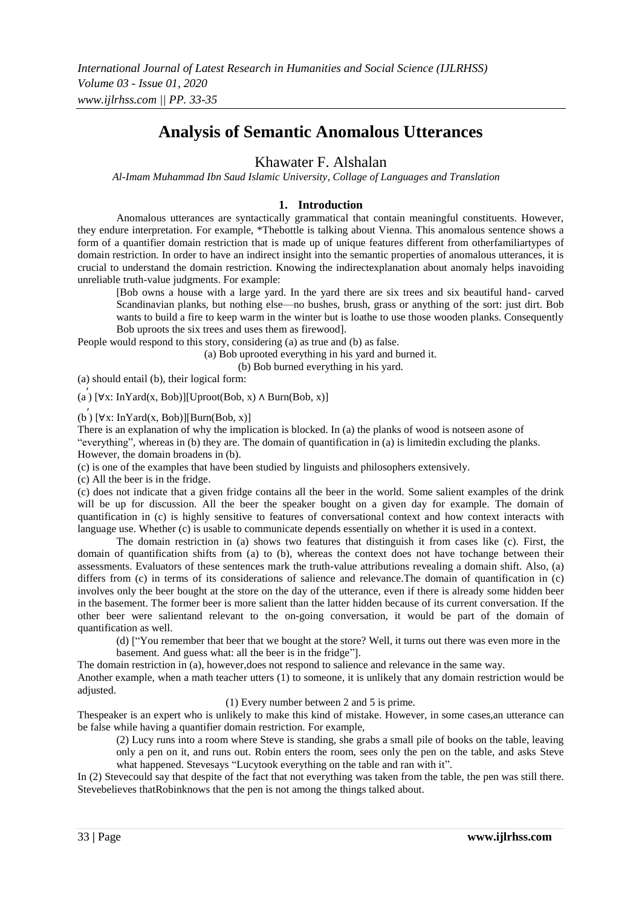# **Analysis of Semantic Anomalous Utterances**

## Khawater F. Alshalan

*Al-Imam Muhammad Ibn Saud Islamic University, Collage of Languages and Translation*

### **1. Introduction**

Anomalous utterances are syntactically grammatical that contain meaningful constituents. However, they endure interpretation. For example, \*Thebottle is talking about Vienna. This anomalous sentence shows a form of a quantifier domain restriction that is made up of unique features different from otherfamiliartypes of domain restriction. In order to have an indirect insight into the semantic properties of anomalous utterances, it is crucial to understand the domain restriction. Knowing the indirectexplanation about anomaly helps inavoiding unreliable truth-value judgments. For example:

[Bob owns a house with a large yard. In the yard there are six trees and six beautiful hand- carved Scandinavian planks, but nothing else—no bushes, brush, grass or anything of the sort: just dirt. Bob wants to build a fire to keep warm in the winter but is loathe to use those wooden planks. Consequently Bob uproots the six trees and uses them as firewood].

People would respond to this story, considering (a) as true and (b) as false.

(a) Bob uprooted everything in his yard and burned it.

(b) Bob burned everything in his yard.

(a) should entail (b), their logical form:

(a ′ ) [∀x: InYard(x, Bob)][Uproot(Bob, x) ∧ Burn(Bob, x)]

 $(b)$  [ $\forall$ x: InYard(x, Bob)][Burn(Bob, x)]

There is an explanation of why the implication is blocked. In (a) the planks of wood is notseen asone of "everything", whereas in (b) they are. The domain of quantification in (a) is limitedin excluding the planks. However, the domain broadens in (b).

(c) is one of the examples that have been studied by linguists and philosophers extensively.

(c) All the beer is in the fridge.

(c) does not indicate that a given fridge contains all the beer in the world. Some salient examples of the drink will be up for discussion. All the beer the speaker bought on a given day for example. The domain of quantification in (c) is highly sensitive to features of conversational context and how context interacts with language use. Whether (c) is usable to communicate depends essentially on whether it is used in a context.

The domain restriction in (a) shows two features that distinguish it from cases like (c). First, the domain of quantification shifts from (a) to (b), whereas the context does not have tochange between their assessments. Evaluators of these sentences mark the truth-value attributions revealing a domain shift. Also, (a) differs from (c) in terms of its considerations of salience and relevance.The domain of quantification in (c) involves only the beer bought at the store on the day of the utterance, even if there is already some hidden beer in the basement. The former beer is more salient than the latter hidden because of its current conversation. If the other beer were salientand relevant to the on-going conversation, it would be part of the domain of quantification as well.

(d) ["You remember that beer that we bought at the store? Well, it turns out there was even more in the basement. And guess what: all the beer is in the fridge"].

The domain restriction in (a), however,does not respond to salience and relevance in the same way.

Another example, when a math teacher utters (1) to someone, it is unlikely that any domain restriction would be adjusted.

(1) Every number between 2 and 5 is prime.

Thespeaker is an expert who is unlikely to make this kind of mistake. However, in some cases,an utterance can be false while having a quantifier domain restriction. For example,

(2) Lucy runs into a room where Steve is standing, she grabs a small pile of books on the table, leaving only a pen on it, and runs out. Robin enters the room, sees only the pen on the table, and asks Steve what happened. Stevesays "Lucytook everything on the table and ran with it".

In (2) Stevecould say that despite of the fact that not everything was taken from the table, the pen was still there. Stevebelieves thatRobinknows that the pen is not among the things talked about.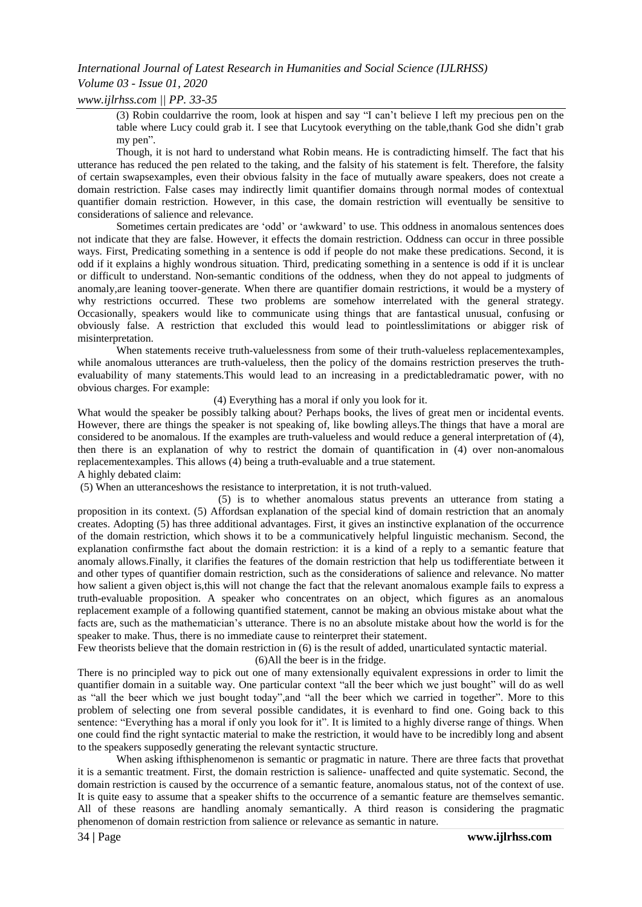### *International Journal of Latest Research in Humanities and Social Science (IJLRHSS)*

### *Volume 03 - Issue 01, 2020*

*www.ijlrhss.com || PP. 33-35*

 $(3)$  Robin couldarrive the room, look at hispen and say "I can't believe I left my precious pen on the table where Lucy could grab it. I see that Lucytook everything on the table,thank God she didn't grab my pen".

Though, it is not hard to understand what Robin means. He is contradicting himself. The fact that his utterance has reduced the pen related to the taking, and the falsity of his statement is felt. Therefore, the falsity of certain swapsexamples, even their obvious falsity in the face of mutually aware speakers, does not create a domain restriction. False cases may indirectly limit quantifier domains through normal modes of contextual quantifier domain restriction. However, in this case, the domain restriction will eventually be sensitive to considerations of salience and relevance.

Sometimes certain predicates are 'odd' or 'awkward' to use. This oddness in anomalous sentences does not indicate that they are false. However, it effects the domain restriction. Oddness can occur in three possible ways. First, Predicating something in a sentence is odd if people do not make these predications. Second, it is odd if it explains a highly wondrous situation. Third, predicating something in a sentence is odd if it is unclear or difficult to understand. Non-semantic conditions of the oddness, when they do not appeal to judgments of anomaly,are leaning toover-generate. When there are quantifier domain restrictions, it would be a mystery of why restrictions occurred. These two problems are somehow interrelated with the general strategy. Occasionally, speakers would like to communicate using things that are fantastical unusual, confusing or obviously false. A restriction that excluded this would lead to pointlesslimitations or abigger risk of misinterpretation.

When statements receive truth-valuelessness from some of their truth-valueless replacementexamples, while anomalous utterances are truth-valueless, then the policy of the domains restriction preserves the truthevaluability of many statements.This would lead to an increasing in a predictabledramatic power, with no obvious charges. For example:

(4) Everything has a moral if only you look for it.

What would the speaker be possibly talking about? Perhaps books, the lives of great men or incidental events. However, there are things the speaker is not speaking of, like bowling alleys.The things that have a moral are considered to be anomalous. If the examples are truth-valueless and would reduce a general interpretation of (4), then there is an explanation of why to restrict the domain of quantification in (4) over non-anomalous replacementexamples. This allows (4) being a truth-evaluable and a true statement. A highly debated claim:

(5) When an utteranceshows the resistance to interpretation, it is not truth-valued.

(5) is to whether anomalous status prevents an utterance from stating a proposition in its context. (5) Affordsan explanation of the special kind of domain restriction that an anomaly creates. Adopting (5) has three additional advantages. First, it gives an instinctive explanation of the occurrence of the domain restriction, which shows it to be a communicatively helpful linguistic mechanism. Second, the explanation confirmsthe fact about the domain restriction: it is a kind of a reply to a semantic feature that anomaly allows.Finally, it clarifies the features of the domain restriction that help us todifferentiate between it and other types of quantifier domain restriction, such as the considerations of salience and relevance. No matter how salient a given object is,this will not change the fact that the relevant anomalous example fails to express a truth-evaluable proposition. A speaker who concentrates on an object, which figures as an anomalous replacement example of a following quantified statement, cannot be making an obvious mistake about what the facts are, such as the mathematician's utterance. There is no an absolute mistake about how the world is for the speaker to make. Thus, there is no immediate cause to reinterpret their statement.

Few theorists believe that the domain restriction in (6) is the result of added, unarticulated syntactic material.

(6)All the beer is in the fridge.

There is no principled way to pick out one of many extensionally equivalent expressions in order to limit the quantifier domain in a suitable way. One particular context "all the beer which we just bought" will do as well as "all the beer which we just bought today", and "all the beer which we carried in together". More to this problem of selecting one from several possible candidates, it is evenhard to find one. Going back to this sentence: "Everything has a moral if only you look for it". It is limited to a highly diverse range of things. When one could find the right syntactic material to make the restriction, it would have to be incredibly long and absent to the speakers supposedly generating the relevant syntactic structure.

When asking ifthisphenomenon is semantic or pragmatic in nature. There are three facts that provethat it is a semantic treatment. First, the domain restriction is salience- unaffected and quite systematic. Second, the domain restriction is caused by the occurrence of a semantic feature, anomalous status, not of the context of use. It is quite easy to assume that a speaker shifts to the occurrence of a semantic feature are themselves semantic. All of these reasons are handling anomaly semantically. A third reason is considering the pragmatic phenomenon of domain restriction from salience or relevance as semantic in nature.